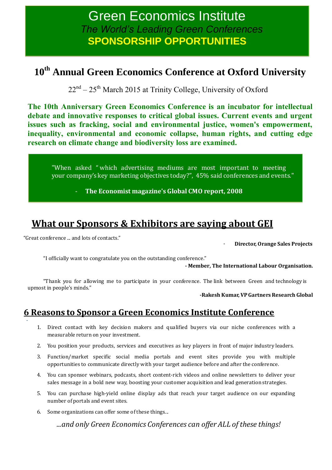# Green Economics Institute *The World's Leading Green Conferences* **SPONSORSHIP OPPORTUNITIES**

## **10th Annual Green Economics Conference at Oxford University**

 $22<sup>nd</sup> - 25<sup>th</sup>$  March 2015 at Trinity College, University of Oxford

**The 10th Anniversary Green Economics Conference is an incubator for intellectual debate and innovative responses to critical global issues. Current events and urgent issues such as fracking, social and environmental justice, women's empowerment, inequality, environmental and economic collapse, human rights, and cutting edge research on climate change and biodiversity loss are examined.**

"When asked " which advertising mediums are most important to meeting your company's key marketing objectives today?", 45% said conferences and events."

- **The Economist magazine's Global CMO report, 2008**

## **What our Sponsors & Exhibitors are saying about GEI**

"Great conference ... and lots of contacts."

- **Director, Orange Sales Projects**

"I officially want to congratulate you on the outstanding conference."

**- Member, The International Labour Organisation.**

"Thank you for allowing me to participate in your conference. The link between Green and technology is upmost in people's minds."

**-Rakesh Kumar, VPGartners Research Global**

### **6 Reasons to Sponsor a Green Economics Institute Conference**

- 1. Direct contact with key decision makers and qualified buyers via our niche conferences with a measurable return on your investment.
- 2. You position your products, services and executives as key players in front of major industry leaders.
- 3. Function/market specific social media portals and event sites provide you with multiple opportunities to communicate directly with your target audience before and after the conference.
- 4. You can sponsor webinars, podcasts, short content-rich videos and online newsletters to deliver your sales message in a bold new way, boosting your customer acquisition and lead generation strategies.
- 5. You can purchase high-yield online display ads that reach your target audience on our expanding number of portals and event sites.
- 6. Some organizations can offer some of these things...

*...and only Green Economics Conferences can offer ALL of these things!*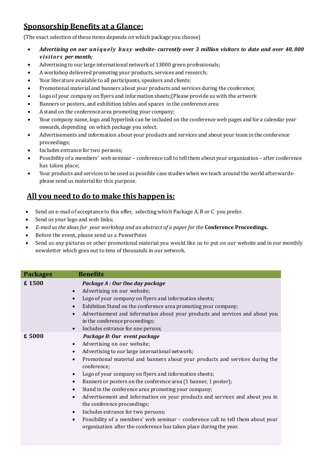### **Sponsorship Benefits at a Glance:**

(The exact selection of these items depends on which package you choose)

- *Advertising on our u n i q u e l y b u s y website- currently over 3 million visitors to date and over 40, 000 v is ito rs per month;*
- Advertising to our large international network of 13000 green professionals;
- A workshop delivered promoting your products, services and research;
- Your literature available to all participants, speakers and clients;
- Promotional material and banners about your products and services during the conference;
- Logo of your company on flyers and information sheets;(Please provide us with the artwork
- Banners or posters, and exhibition tables and spaces in the conference area
- A stand on the conference area promoting your company;
- Your company name, logo and hyperlink can be included on the conference web pages and for a calendar year onwards, depending on which package you select.
- Advertisements and information about your products and services and about your team in the conference proceedings;
- Includes entrance for two persons;
- Possibility of a members' web seminar conference call to tell them about your organization after conference has taken place;
- Your products and services to be used as possible case studies when we teach around the world afterwardsplease send us material for this purpose.

### **All you need to do to make this happen is:**

- Send an e-mail of acceptance to this offer, selecting which Package A, B or C you prefer.
- Send us your logo and web links;
- *E-mail us the ideas for your workshop and an abstract of a paper for the* **Conference Proceedings.**
- Before the event, please send us a PowerPoint
- Send us any pictures or other promotional material you would like us to put on our website and in our monthly newsletter which goes out to tens of thousands in our network.

| <b>Packages</b> | <b>Benefits</b>                                                                           |
|-----------------|-------------------------------------------------------------------------------------------|
| £1500           | Package A : Our One day package                                                           |
|                 | Advertising on our website;<br>$\bullet$                                                  |
|                 | Logo of your company on flyers and information sheets;<br>$\bullet$                       |
|                 | Exhibition Stand on the conference area promoting your company;                           |
|                 | Advertisement and information about your products and services and about you              |
|                 | in the conference proceedings;                                                            |
|                 | Includes entrance for one person;                                                         |
| £ 5000          | Package B: Our event package                                                              |
|                 | Advertising on our website;<br>$\bullet$                                                  |
|                 | Advertising to our large international network;<br>$\bullet$                              |
|                 | Promotional material and banners about your products and services during the              |
|                 | conference;                                                                               |
|                 | Logo of your company on flyers and information sheets;                                    |
|                 | Banners or posters on the conference area (1 banner, 1 poster);<br>$\bullet$              |
|                 | Stand in the conference area promoting your company;<br>$\bullet$                         |
|                 | Advertisement and information on your products and services and about you in<br>$\bullet$ |
|                 | the conference proceedings;                                                               |
|                 | Includes entrance for two persons;<br>$\bullet$                                           |
|                 | Possibility of a members' web seminar - conference call to tell them about your           |
|                 | organization after the conference has taken place during the year.                        |